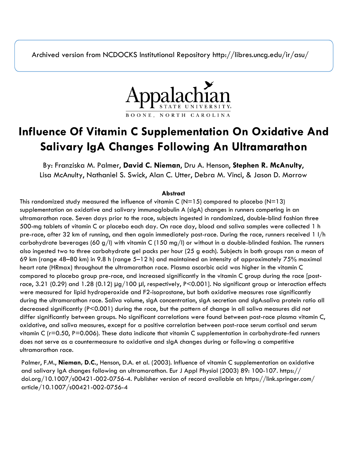Archived version from NCDOCKS Institutional Repository http://libres.uncg.edu/ir/asu/



# **Influence Of Vitamin C Supplementation On Oxidative And Salivary IgA Changes Following An Ultramarathon**

By: Franziska M. Palmer, **David C. Nieman**, Dru A. Henson, **Stephen R. McAnulty**, Lisa McAnulty, Nathaniel S. Swick, Alan C. Utter, Debra M. Vinci, & Jason D. Morrow

# **Abstract**

This randomized study measured the influence of vitamin C ( $N=15$ ) compared to placebo ( $N=13$ ) supplementation on oxidative and salivary immunoglobulin A (sIgA) changes in runners competing in an ultramarathon race. Seven days prior to the race, subjects ingested in randomized, double-blind fashion three 500-mg tablets of vitamin C or placebo each day. On race day, blood and saliva samples were collected 1 h pre-race, after 32 km of running, and then again immediately post-race. During the race, runners received 1 l/h carbohydrate beverages (60 g/l) with vitamin C (150 mg/l) or without in a double-blinded fashion. The runners also ingested two to three carbohydrate gel packs per hour (25 g each). Subjects in both groups ran a mean of 69 km (range 48–80 km) in 9.8 h (range 5–12 h) and maintained an intensity of approximately 75% maximal heart rate (HRmax) throughout the ultramarathon race. Plasma ascorbic acid was higher in the vitamin C compared to placebo group pre-race, and increased significantly in the vitamin C group during the race [postrace, 3.21 (0.29) and 1.28 (0.12)  $\mu$ g/100  $\mu$ l, respectively, P<0.001]. No significant group or interaction effects were measured for lipid hydroperoxide and F2-isoprostane, but both oxidative measures rose significantly during the ultramarathon race. Saliva volume, sIgA concentration, sIgA secretion and sIgA:saliva protein ratio all decreased significantly (P<0.001) during the race, but the pattern of change in all saliva measures did not differ significantly between groups. No significant correlations were found between post-race plasma vitamin C, oxidative, and saliva measures, except for a positive correlation between post-race serum cortisol and serum vitamin C (r=0.50, P=0.006). These data indicate that vitamin C supplementation in carbohydrate-fed runners does not serve as a countermeasure to oxidative and sIgA changes during or following a competitive ultramarathon race.

Palmer, F.M., **Nieman, D.C.**, Henson, D.A. et al. (2003). Influence of vitamin C supplementation on oxidative and salivary IgA changes following an ultramarathon. Eur J Appl Physiol (2003) 89: 100-107. https:// doi.org/10.1007/s00421-002-0756-4. Publisher version of record available at: https://link.springer.com/ article/10.1007/s00421-002-0756-4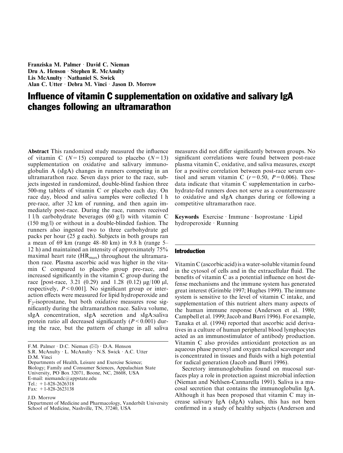Franziska M. Palmer · David C. Nieman Dru A. Henson · Stephen R. McAnulty Lis McAnulty  $\cdot$  Nathaniel S. Swick Alan C. Utter · Debra M. Vinci · Jason D. Morrow

# Influence of vitamin C supplementation on oxidative and salivary IgA changes following an ultramarathon

Abstract This randomized study measured the influence of vitamin C  $(N=15)$  compared to placebo  $(N=13)$ supplementation on oxidative and salivary immunoglobulin A (sIgA) changes in runners competing in an ultramarathon race. Seven days prior to the race, subjects ingested in randomized, double-blind fashion three 500-mg tablets of vitamin C or placebo each day. On race day, blood and saliva samples were collected 1 h pre-race, after 32 km of running, and then again immediately post-race. During the race, runners received 1 l/h carbohydrate beverages (60 g/l) with vitamin C (150 mg/l) or without in a double-blinded fashion. The runners also ingested two to three carbohydrate gel packs per hour (25 g each). Subjects in both groups ran a mean of 69 km (range 48–80 km) in 9.8 h (range 5– 12 h) and maintained an intensity of approximately 75% maximal heart rate  $(HR_{max})$  throughout the ultramarathon race. Plasma ascorbic acid was higher in the vitamin C compared to placebo group pre-race, and increased significantly in the vitamin C group during the race [post-race, 3.21 (0.29) and 1.28 (0.12)  $\mu$ g/100  $\mu$ l, respectively,  $P < 0.001$ ]. No significant group or interaction effects were measured for lipid hydroperoxide and  $F<sub>2</sub>$ -isoprostane, but both oxidative measures rose significantly during the ultramarathon race. Saliva volume, sIgA concentration, sIgA secretion and sIgA:saliva protein ratio all decreased significantly  $(P < 0.001)$  during the race, but the pattern of change in all saliva measures did not differ significantly between groups. No significant correlations were found between post-race plasma vitamin C, oxidative, and saliva measures, except for a positive correlation between post-race serum cortisol and serum vitamin C  $(r=0.50, P=0.006)$ . These data indicate that vitamin C supplementation in carbohydrate-fed runners does not serve as a countermeasure to oxidative and sIgA changes during or following a competitive ultramarathon race.

Keywords Exercise · Immune · Isoprostane · Lipid hydroperoxide · Running

## Introduction

Vitamin C (ascorbic acid) is a water-soluble vitamin found in the cytosol of cells and in the extracellular fluid. The benefits of vitamin C as a potential influence on host defense mechanisms and the immune system has generated great interest (Grimble 1997; Hughes 1999). The immune system is sensitive to the level of vitamin C intake, and supplementation of this nutrient alters many aspects of the human immune response (Anderson et al. 1980; Campbell et al. 1999; Jacob and Burri 1996). For example, Tanaka et al. (1994) reported that ascorbic acid derivatives in a culture of human peripheral blood lymphocytes acted as an immunostimulator of antibody production. Vitamin C also provides antioxidant protection as an aqueous phase peroxyl and oxygen radical scavenger and is concentrated in tissues and fluids with a high potential for radical generation (Jacob and Burri 1996).

Secretory immunoglobulins found on mucosal surfaces play a role in protection against microbial infection (Nieman and Nehlsen-Cannarella 1991). Saliva is a mucosal secretion that contains the immunoglobulin IgA. Although it has been proposed that vitamin C may increase salivary IgA (sIgA) values, this has not been confirmed in a study of healthy subjects (Anderson and

F.M. Palmer  $\cdot$  D.C. Nieman ( $\boxtimes$ )  $\cdot$  D.A. Henson S.R. McAnulty L. McAnulty · N.S. Swick · A.C. Utter D.M. Vinci

Departments of Health, Leisure and Exercise Science; Biology; Family and Consumer Sciences, Appalachian State University, PO Box 32071, Boone, NC, 28608, USA E-mail: niemandc@appstate.edu Tel.:  $+1-828-2626318$ Fax: +1-828-2623138

J.D. Morrow

Department of Medicine and Pharmacology, Vanderbilt University School of Medicine, Nashville, TN, 37240, USA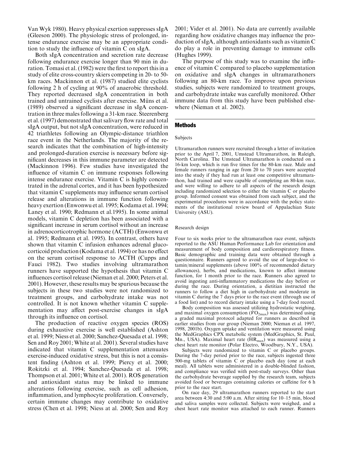Van Wyk 1980). Heavy physical exertion suppresses sIgA (Gleeson 2000). The physiologic stress of prolonged, intense endurance exercise may be an appropriate condition to study the influence of vitamin C on sIgA.

Both sIgA concentration and secretion rate decrease following endurance exercise longer than 90 min in duration. Tomasi et al. (1982) were the first to report this in a study of elite cross-country skiers competing in 20- to 50 km races. Mackinnon et al. (1987) studied elite cyclists following 2 h of cycling at 90% of anaerobic threshold. They reported decreased sIgA concentration in both trained and untrained cyclists after exercise. Müns et al. (1989) observed a significant decrease in sIgA concentration in three males following a 31-km race. Steerenberg et al. (1997) demonstrated that salivary flow rate and total sIgA output, but not sIgA concentration, were reduced in 42 triathletes following an Olympic-distance triathlon race event in the Netherlands. The majority of the research indicates that the combination of high-intensity and prolonged-duration exercise is necessary before significant decreases in this immune parameter are detected (Mackinnon 1996). Few studies have investigated the influence of vitamin C on immune responses following intense endurance exercise. Vitamin C is highly concentrated in the adrenal cortex, and it has been hypothesized that vitamin C supplements may influence serum cortisol release and alterations in immune function following heavy exertion (Enwonwu et al. 1995; Kodama et al. 1994; Laney et al. 1990; Redmann et al.1995). In some animal models, vitamin C depletion has been associated with a significant increase in serum cortisol without an increase in adrenocorticotrophic hormone (ACTH) (Enwonwu et al. 1995; Redmann et al. 1995). In contrast, others have shown that vitamin C infusion enhances adrenal glucocorticoid production (Kodama et al. 1994) or has no effect on the serum cortisol response to ACTH (Cupps and Fauci 1982). Two studies involving ultramarathon runners have supported the hypothesis that vitamin C influences cortisol release (Nieman et al. 2000; Peters et al. 2001). However, these results may be spurious because the subjects in these two studies were not randomized to treatment groups, and carbohydrate intake was not controlled. It is not known whether vitamin C supplementation may affect post-exercise changes in sIgA through its influence on cortisol.

The production of reactive oxygen species (ROS) during exhaustive exercise is well established (Ashton et al. 1999; Niess et al. 2000; Sanchez-Quesada et al. 1998; Sen and Roy 2001; White at al. 2001). Several studies have indicated that vitamin C supplementation attenuates exercise-induced oxidative stress, but this is not a consistent finding (Ashton et al. 1999; Piercy et al. 2000; Rokitzki et al. 1994; Sanchez-Quesada et al. 1998; Thompson et al. 2001; White et al. 2001). ROS generation and antioxidant status may be linked to immune alterations following exercise, such as cell adhesion, inflammation, and lymphocyte proliferation. Conversely, certain immune changes may contribute to oxidative stress (Chen et al. 1998; Niess at al. 2000; Sen and Roy 2001; Vider et al. 2001). No data are currently available regarding how oxidative changes may influence the production of sIgA, although antioxidants such as vitamin C do play a role in preventing damage to immune cells (Hughes 1999).

The purpose of this study was to examine the influence of vitamin C compared to placebo supplementation on oxidative and sIgA changes in ultramarathoners following an 80-km race. To improve upon previous studies, subjects were randomized to treatment groups, and carbohydrate intake was carefully monitored. Other immune data from this study have been published elsewhere (Nieman et al. 2002).

## Methods

#### Subjects

Ultramarathon runners were recruited through a letter of invitation prior to the April 7, 2001, Umstead Ultramarathon, in Raleigh, North Carolina. The Umstead Ultramarathon is conducted on a 16-km loop, which is run five times for the 80-km race. Male and female runners ranging in age from 20 to 70 years were accepted into the study if they had run at least one competitive ultramarathon, had trained and were capable of completing an 80-km race, and were willing to adhere to all aspects of the research design including randomized selection to either the vitamin C or placebo group. Informed consent was obtained from each subject, and the experimental procedures were in accordance with the policy statements of the institutional review board of Appalachian State University (ASU).

#### Research design

Four to six weeks prior to the ultramarathon race event, subjects reported to the ASU Human Performance Lab for orientation and measurement of body composition and cardiorespiratory fitness. Basic demographic and training data were obtained through a questionnaire. Runners agreed to avoid the use of large-dose vitamin/mineral supplements (above 100% of recommended dietary allowances), herbs, and medications, known to affect immune function, for 1 month prior to the race. Runners also agreed to avoid ingesting anti-inflammatory medications the day before or during the race. During orientation, a dietitian instructed the runners to follow a diet high in carbohydrate and moderate in vitamin C during the 7 days prior to the race event (through use of a food list) and to record dietary intake using a 7-day food record.

Body composition was assessed utilizing hydrostatic weighing, and maximal oxygen consumption  $(\dot{V}\Omega_{2\text{max}})$  was determined using a graded maximal protocol adapted for runners as described in earlier studies from our group (Nieman 2000; Nieman et al. 1997, 1998, 2001b). Oxygen uptake and ventilation were measured using the MedGraphics CPX metabolic system (MedGraphics, St. Paul, Mn., USA). Maximal heart rate  $(HR_{max})$  was measured using a chest heart rate monitor (Polar Electro, Woodbury, N.Y., USA).

Subjects were randomized to vitamin C or placebo groups. During the 7-day period prior to the race, subjects ingested three 500-mg tablets of vitamin C or placebo each day (one at each meal). All tablets were administered in a double-blinded fashion, and compliance was verified with post-study surveys. Other than the carbohydrate beverage supplied by the research team, subjects avoided food or beverages containing calories or caffeine for 6 h prior to the race start.

On race day, 29 ultramarathon runners reported to the start area between 4:30 and 5:00 a.m. After sitting for 10–15 min, blood and saliva samples were collected. Subjects were weighed, and a chest heart rate monitor was attached to each runner. Runners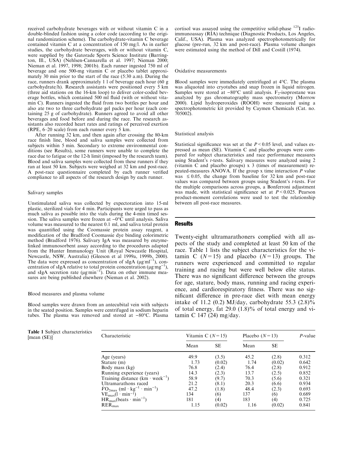received carbohydrate beverages with or without vitamin C in a double-blinded fashion using a color code (according to the original randomization scheme). The carbohydrate-vitamin C beverage contained vitamin C at a concentration of 150 mg/l. As in earlier studies, the carbohydrate beverages, with or without vitamin C, were supplied by the Gatorade Sports Science Institute (Barrington, Ill., USA) (Nehlsen-Cannarella et al. 1997; Nieman 2000; Nieman et al. 1997, 1998; 2001b). Each runner ingested 750 ml of beverage and one 500-mg vitamin C or placebo tablet approximately 30 min prior to the start of the race (5:30 a.m). During the race, runners drank approximately 1 l of beverage each hour (60 g carbohydrate/h). Research assistants were positioned every 5 km (three aid stations on the 16-km loop) to deliver color-coded beverage bottles, which contained 500 ml fluid (with or without vitamin C). Runners ingested the fluid from two bottles per hour and also ate two to three carbohydrate gel packs per hour (each containing 25 g of carbohydrate). Runners agreed to avoid all other beverages and food before and during the race. The research assistants also recorded heart rates and ratings of perceived exertion (RPE, 6–20 scale) from each runner every 5 km.

After running 32 km, and then again after crossing the 80-km race finish line, blood and saliva samples were collected from subjects within 5 min. Secondary to extreme environmental conditions (see Results), some runners were unable to complete the race due to fatigue or the 12-h limit (imposed by the research team). Blood and saliva samples were collected from these runners if they ran at least 50 km. Subjects were weighed at 32 km and post-race. A post-race questionnaire completed by each runner verified compliance to all aspects of the research design by each runner.

#### Salivary samples

Unstimulated saliva was collected by expectoration into 15-ml plastic, sterilized vials for 4 min. Participants were urged to pass as much saliva as possible into the vials during the 4-min timed session. The saliva samples were frozen at  $-0$ °C until analysis. Saliva volume was measured to the nearest 0.1 ml, and saliva total protein was quantified using the Coomassie protein assay reagent, a modification of the Bradford Coomassie dye binding colorimetric method (Bradford 1976). Salivary IgA was measured by enzymelinked immunosorbent assay according to the procedures adapted from the Hunter Immunology Unit (Royal Newcastle Hospital, Newcastle, NSW, Australia) (Gleeson et al 1999a, 1999b, 2000). The data were expressed as concentration of sIgA ( $\mu$ gml<sup>-1</sup>), concentration of sIgA relative to total protein concentration ( $\mu$ g $^{m}$ g<sup>-1</sup>), and sIgA secretion rate ( $\mu$ g $\text{min}^{-1}$ ). Data on other immune measures are being published elsewhere (Nieman et al. 2002).

#### Blood measures and plasma volume

Blood samples were drawn from an antecubital vein with subjects in the seated position. Samples were centrifuged in sodium heparin tubes. The plasma was removed and stored at  $-80^{\circ}$ C. Plasma

Table 1 Subject characteristics

cortisol was assayed using the competitive solid-phase <sup>125</sup>I radioimmunoassay (RIA) technique (Diagnostic Products, Los Angeles, Calif., USA). Plasma was analyzed spectrophotometrically for glucose (pre-run, 32 km and post-race). Plasma volume changes were estimated using the method of Dill and Costill (1974).

#### Oxidative measurements

Blood samples were immediately centrifuged at  $4^{\circ}$ C. The plasma was aliquoted into cryotubes and snap frozen in liquid nitrogen. Samples were stored at  $-80^{\circ}$ C until analysis. F<sub>2</sub>-isoprostane was analyzed by gas chromatography mass spectrometry (Morrow 2000). Lipid hydroperoxides (ROOH) were measured using a spectrophotometric kit provided by Caymen Chemicals (Cat. no. 705002).

#### Statistical analysis

Statistical significance was set at the  $P < 0.05$  level, and values expressed as mean (SE). Vitamin C and placebo groups were compared for subject characteristics and race performance measures using Student's t-tests. Salivary measures were analyzed using 2 (vitamin C and placebo groups) x 3 (times of measurement) repeated-measures ANOVA. If the group x time interaction P value was  $\leq 0.05$ , the change from baseline for 32 km and post-race values was compared between groups using Student's *t*-tests. For the multiple comparisons across groups, a Bonferroni adjustment was made, with statistical significance set at  $P < 0.025$ . Pearson product-moment correlations were used to test the relationship between all post-race measures.

#### Results

Twenty-eight ultramarathoners complied with all aspects of the study and completed at least 50 km of the race. Table 1 lists the subject characteristics for the vitamin C  $(N=15)$  and placebo  $(N=13)$  groups. The runners were experienced and committed to regular training and racing but were well below elite status. There was no significant difference between the groups for age, stature, body mass, running and racing experience, and cardiorespiratory fitness. There was no significant difference in pre-race diet with mean energy intake of 11.2 (0.2) MJ/day, carbohydrate 55.3  $(2.8)\%$ of total energy, fat 29.0 (1.8)% of total energy and vitamin C 147 (24) mg/day.

| $1.0015$ $1.0001$ $0.000$ $1.001$ $0.000$<br>[mean (SE)] | Characteristic                                                               | Vitamin C $(N=15)$ |           | Placebo $(N=13)$ | $P$ -value |       |
|----------------------------------------------------------|------------------------------------------------------------------------------|--------------------|-----------|------------------|------------|-------|
|                                                          |                                                                              | Mean               | <b>SE</b> | Mean             | SE         |       |
|                                                          | Age (years)                                                                  | 49.9               | (3.5)     | 45.2             | (2.8)      | 0.312 |
|                                                          | Stature (m)                                                                  | 1.73               | (0.02)    | 1.74             | (0.02)     | 0.642 |
|                                                          | Body mass (kg)                                                               | 76.8               | (2.4)     | 76.4             | (2.8)      | 0.912 |
|                                                          | Running experience (years)                                                   | 14.3               | (2.3)     | 13.7             | (2.5)      | 0.852 |
|                                                          | Training distance $(km \cdot week^{-1})$                                     | 58.9               | (9.7)     | 70.3             | (5.6)      | 0.321 |
|                                                          | Ultramarathons raced                                                         | 21.2               | (8.1)     | 20.3             | (6.6)      | 0.934 |
|                                                          | $\dot{V}\text{O}_{2\text{max}}$ (ml · kg <sup>-1</sup> · min <sup>-1</sup> ) | 47.2               | (1.8)     | 48.4             | (2.3)      | 0.693 |
|                                                          | $VEmax(l \cdot min^{-1})$                                                    | 134                | (6)       | 137              | (6)        | 0.689 |
|                                                          | $HR_{max}(beats \cdot min^{-1})$                                             | 181                | (4)       | 183              | (4)        | 0.725 |
|                                                          | $RER_{max}$                                                                  | 1.15               | (0.02)    | 1.16             | (0.02)     | 0.841 |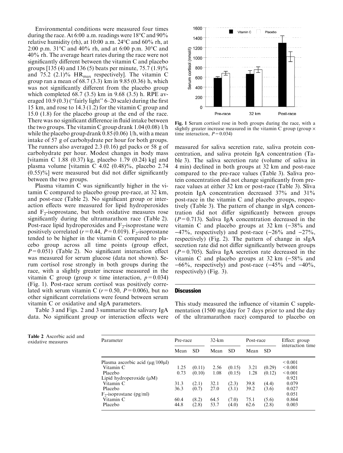Environmental conditions were measured four times during the race. At 6:00 a.m. readings were  $18^{\circ}$ C and  $90\%$ relative humidity (rh), at 10:00 a.m. 24°C and 60% rh, at 2:00 p.m. 31°C and 40% rh, and at 6:00 p.m. 30°C and 40% rh. The average heart rates during the race were not significantly different between the vitamin C and placebo groups [135 (4) and 136 (5) beats per minute, 75.7 (1.9)% and 75.2 (2.1)%  $HR_{max}$  respectively]. The vitamin C group ran a mean of 68.7 (3.3) km in 9.85 (0.36) h, which was not significantly different from the placebo group which completed 68.7 (3.5) km in 9.68 (3.5) h. RPE averaged 10.9 (0.3) (''fairly light'' 6–20 scale) during the first 15 km, and rose to 14.3 (1.2) for the vitamin C group and 15.0 (1.8) for the placebo group at the end of the race. There was no significant difference in fluid intake between the two groups. The vitamin C group drank 1.04 (0.08) l/h while the placebo group drank 0.85 (0.06) 1/h, with a mean intake of 57 g of carbohydrate per hour for both groups. The runners also averaged 2.3 (0.16) gel packs or 58 g of carbohydrate per hour. Modest changes in body mass [vitamin C 1.88 (0.37) kg, placebo 1.79 (0.24) kg] and plasma volume [vitamin C 4.02 (0.48)%, placebo 2.74  $(0.55)\%$ ] were measured but did not differ significantly between the two groups.

Plasma vitamin C was significantly higher in the vitamin C compared to placebo group pre-race, at 32 km, and post-race (Table 2). No significant group or interaction effects were measured for lipid hydroperoxides and  $F_2$ -isoprostane, but both oxidative measures rose significantly during the ultramarathon race (Table 2). Post-race lipid hydroperoxides and  $F_2$ -isoprostane were positively correlated ( $r=0.44$ ,  $P=0.019$ ). F<sub>2</sub>-isoprostane tended to be higher in the vitamin C compared to placebo group across all time points (group effect,  $P=0.051$ ) (Table 2). No significant interaction effect was measured for serum glucose (data not shown). Serum cortisol rose strongly in both groups during the race, with a slightly greater increase measured in the vitamin C group (group  $\times$  time interaction,  $p=0.034$ ) (Fig. 1). Post-race serum cortisol was positively correlated with serum vitamin C  $(r=0.50, P=0.006)$ , but no other significant correlations were found between serum vitamin C or oxidative and sIgA parameters.

Table 3 and Figs. 2 and 3 summarize the salivary IgA data. No significant group or interaction effects were



Fig. 1 Serum cortisol rose in both groups during the race, with a slightly greater increase measured in the vitamin  $\overline{C}$  group (group  $\times$ time interaction,  $P=0.034$ )

measured for saliva secretion rate, saliva protein concentration, and saliva protein IgA concentration (Table 3). The saliva secretion rate (volume of saliva in 4 min) declined in both groups at 32 km and post-race compared to the pre-race values (Table 3). Saliva protein concentration did not change significantly from prerace values at either 32 km or post-race (Table 3). Sliva protein IgA concentration decreased 37% and 31% post-race in the vitamin C and placebo groups, respectively (Table 3). The pattern of change in sIgA concentration did not differ significantly between groups  $(P=0.713)$ . Saliva IgA concentration decreased in the vitamin C and placebo groups at 32 km  $(-38\%$  and  $-47\%$ , respectively) and post-race  $(-26\%$  and  $-27\%$ , respectively) (Fig. 2). The pattern of change in sIgA secretion rate did not differ significantly between groups  $(P=0.705)$ . Saliva IgA secretion rate decreased in the vitamin C and placebo groups at 32 km  $(-58\%$  and  $-66\%$ , respectively) and post-race  $(-45\%$  and  $-40\%$ , respectively) (Fig. 3).

#### **Discussion**

This study measured the influence of vitamin C supplementation (1500 mg/day for 7 days prior to and the day of the ultramarathon race) compared to placebo on

| <b>Table 2</b> Ascorbic acid and<br>oxidative measures | Parameter                                  | Pre-race |           | $32 - km$ |           | Post-race |           | Effect: group<br>interaction time |
|--------------------------------------------------------|--------------------------------------------|----------|-----------|-----------|-----------|-----------|-----------|-----------------------------------|
|                                                        |                                            | Mean     | <b>SD</b> | Mean      | <b>SD</b> | Mean      | <b>SD</b> |                                   |
|                                                        | Plasma ascorbic acid $(\mu$ g/100 $\mu$ l) |          |           |           |           |           |           | ${}_{0.001}$                      |
|                                                        | Vitamin C                                  | 1.25     | (0.11)    | 2.56      | (0.15)    | 3.21      | (0.29)    | ${}_{0.001}$                      |
|                                                        | Placebo                                    | 0.73     | (0.10)    | 1.08      | (0.15)    | 1.28      | (0.12)    | ${}_{0.001}$                      |
|                                                        | Lipid hydroperoxide $(\mu M)$              |          |           |           |           |           |           | 0.921                             |
|                                                        | Vitamin C                                  | 31.3     | (2.1)     | 32.1      | (2.3)     | 39.8      | (4.4)     | 0.079                             |
|                                                        | Placebo                                    | 36.3     | (0.7)     | 27.0      | (3.1)     | 39.2      | (3.6)     | 0.027                             |
|                                                        | $F_2$ -isoprostane (pg/ml)                 |          |           |           |           |           |           | 0.051                             |
|                                                        | Vitamin C                                  | 60.4     | (8.2)     | 64.5      | (7.0)     | 75.1      | (5.6)     | 0.864                             |
|                                                        | Placebo                                    | 44.8     | (2.8)     | 53.7      | (4.0)     | 62.6      | (2.8)     | 0.003                             |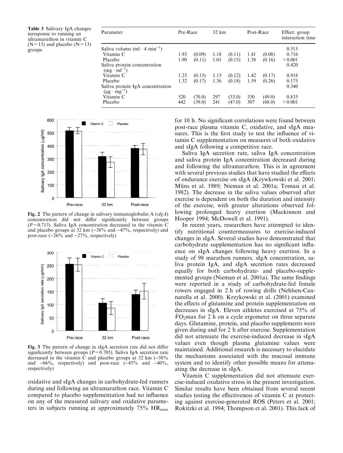Table 3 Salivary IgA changes inresponse to running an ultramarathon in vitamin C  $(N=15)$  and placebo  $(N=13)$ groups

| Parameter                                                   | Pre-Race |        | $32 \text{ km}$ |        | Post-Race |        | Effect: group<br>interaction time |  |
|-------------------------------------------------------------|----------|--------|-----------------|--------|-----------|--------|-----------------------------------|--|
| Saliva volume $(ml \cdot 4 min^{-1})$                       |          |        |                 |        |           |        | 0.515                             |  |
| Vitamin C                                                   | 1.93     | (0.09) | 1.18            | (0.11) | 1.41      | (0.08) | 0.716                             |  |
| Placebo                                                     | 1.90     | (0.11) | 1.01            | (0.15) | 1.38      | (0.16) | ${}_{0.001}$                      |  |
| Saliva protein concentration<br>$(mg \cdot ml^{-1})$        |          |        |                 |        |           |        | 0.420                             |  |
| Vitamin C                                                   | 1.25     | (0.15) | 1.15            | (0.12) | 1.42      | (0.17) | 0.918                             |  |
| Placebo                                                     | 1.32     | (0.17) | 1.36            | (0.18) | 1.59      | (0.26) | 0.175                             |  |
| Saliva protein IgA concentration<br>$(\mu g \cdot mg^{-1})$ |          |        |                 |        |           |        | 0.340                             |  |
| Vitamin C                                                   | 520      | (70.0) | 297             | (33.0) | 330       | (49.0) | 0.835                             |  |
| Placebo                                                     | 442      | (39.0) | 241             | (47.0) | 307       | (68.0) | ${}_{0.001}$                      |  |



Fig. 2 The pattern of change in salivary immunoglobulin A  $(sIgA)$ concentration did not differ significantly between groups  $(P=0.713)$ . Saliva IgA concentration decreased in the vitamin C and placebo groups at 32 km  $(-38\%$  and  $-47\%$ , respectively) and post-race  $(-26\%$  and  $-27\%$ , respectively)



Fig. 3 The pattern of change in sIgA secretion rate did not differ significantly between groups ( $P=0.705$ ). Saliva IgA secretion rate decreased in the vitamin C and placebo groups at  $32 \text{ km } (-58\%)$ and  $-66\%$ , respectively) and post-race  $(-45\%$  and  $-40\%$ , respectively)

oxidative and sIgA changes in carbohydrate-fed runners during and following an ultramarathon race. Vitamin C compared to placebo supplementation had no influence on any of the measured salivary and oxidative parameters in subjects running at approximately  $75\%$  HR<sub>max</sub>

for 10 h. No significant correlations were found between post-race plasma vitamin C, oxidative, and sIgA measures. This is the first study to test the influence of vitamin C supplementation on measures of both oxidative and sIgA following a competitive race.

Saliva IgA secretion rate, saliva IgA concentration and saliva protein IgA concentration decreased during and following the ultramarathon. This is in agreement with several previous studies that have studied the effects of endurance exercise on sIgA (Krywkowski et al. 2001; Müns et al. 1989; Nieman et al. 2001a; Tomasi et al. 1982). The decrease in the saliva values observed after exercise is dependent on both the duration and intensity of the exercise, with greater alterations observed following prolonged heavy exertion (Mackinnon and Hooper 1994; McDowell et al. 1991).

In recent years, researchers have attempted to identify nutritional countermeasures to exercise-induced changes in sIgA. Several studies have demonstrated that carbohydrate supplementation has no significant influence on sIgA changes following heavy exertion. In a study of 98 marathon runners, sIgA concentration, saliva protein IgA, and sIgA secretion rates decreased equally for both carbohydrate- and placebo-supplemented groups (Nieman et al. 2001a). The same findings were reported in a study of carbohydrate-fed female rowers engaged in 2 h of rowing drills (Nehlsen-Cannarella et al. 2000). Krzykowski et al. (2001) examined the effects of glutamine and protein supplementation on decreases in sIgA. Eleven athletes exercised at 75% of  $VO<sub>2</sub>max$  for 2 h on a cycle ergometer on three separate days. Glutamine, protein, and placebo supplements were given during and for 2 h after exercise. Supplementation did not attenuate the exercise-induced decrease in sIgA values even though plasma glutamine values were maintained. Additional research is necessary to elucidate the mechanisms associated with the mucosal immune system and to identify other possible means for attenuating the decrease in sIgA.

Vitamin C supplementation did not attenuate exercise-induced oxidative stress in the present investigation. Similar results have been obtained from several recent studies testing the effectiveness of vitamin C at protecting against exercise-generated ROS (Peters et al. 2001; Rokitzki et al. 1994; Thompson et al. 2001). This lack of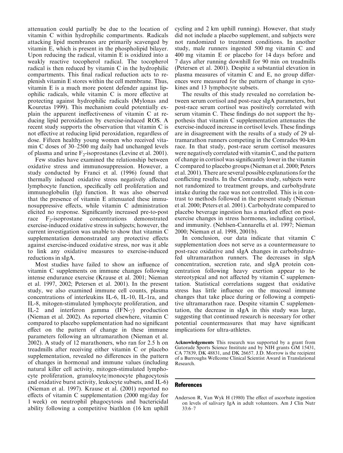attenuation could partially be due to the location of vitamin C within hydrophilic compartments. Radicals attacking lipid membranes are primarily scavenged by vitamin E, which is present in the phospholipid bilayer. Upon reducing the radical, vitamin E is oxidized into a weakly reactive tocopherol radical. The tocopherol radical is then reduced by vitamin C in the hydrophilic compartments. This final radical reduction acts to replenish vitamin E stores within the cell membrane. Thus, vitamin E is a much more potent defender against lipophilic radicals, while vitamin C is more effective at protecting against hydrophilic radicals (Mylonas and Kouretas 1999). This mechanism could potentially explain the apparent ineffectiveness of vitamin C at reducing lipid peroxidation by exercise-induced ROS. A recent study supports the observation that vitamin C is not effective at reducing lipid peroxidation, regardless of dose. Fifteen healthy young women who received vitamin C doses of 30–2500 mg daily had unchanged levels of plasma and urine  $F_2$ -isoprostanes (Levine et al. 2001).

Few studies have examined the relationship between oxidative stress and immunosuppression. However, a study conducted by Franci et al. (1996) found that thermally induced oxidative stress negatively affected lymphocyte function, specifically cell proliferation and immunoglobulin (Ig) function. It was also observed that the presence of vitamin E attenuated these immunosuppressive effects, while vitamin C administration elicited no response. Significantly increased pre-to-post race  $F_2$ -isoprostane concentrations demonstrated exercise-induced oxidative stress in subjects; however, the current investigation was unable to show that vitamin C supplementation demonstrated any protective effects against exercise-induced oxidative stress, nor was it able to link any oxidative measures to exercise-induced reductions in sIgA.

Most studies have failed to show an influence of vitamin C supplements on immune changes following intense endurance exercise (Krause et al. 2001; Nieman et al. 1997, 2002; Petersen et al. 2001). In the present study, we also examined immune cell counts, plasma concentrations of interleukins IL-6, IL-10, IL-1ra, and IL-8, mitogen-stimulated lymphocyte proliferation, and IL-2 and interferon gamma  $(IFN-\gamma)$  production (Nieman et al. 2002). As reported elsewhere, vitamin C compared to placebo supplementation had no significant effect on the pattern of change in these immune parameters following an ultramarathon (Nieman et al. 2002). A study of 12 marathoners, who ran for 2.5 h on treadmills after receiving either vitamin C or placebo supplementation, revealed no differences in the pattern of changes in hormonal and immune values (including natural killer cell activity, mitogen-stimulated lymphocyte proliferation, granulocyte/monocyte phagocytosis and oxidative burst activity, leukocyte subsets, and IL-6) (Nieman et al. 1997). Krause et al. (2001) reported no effects of vitamin C supplementation (2000 mg/day for 1 week) on neutrophil phagocytosis and bactericidal ability following a competitive biathlon (16 km uphill cycling and 2 km uphill running). However, that study did not include a placebo supplement, and subjects were not randomized to treatment conditions. In another study, male runners ingested 500 mg vitamin C and 400 mg vitamin E or placebo for 14 days before and 7 days after running downhill for 90 min on treadmills (Petersen et al. 2001). Despite a substantial elevation in plasma measures of vitamin C and E, no group differences were measured for the pattern of change in cytokines and 13 lymphocyte subsets.

The results of this study revealed no correlation between serum cortisol and post-race sIgA parameters, but post-race serum cortisol was positively correlated with serum vitamin C. These findings do not support the hypothesis that vitamin C supplementation attenuates the exercise-induced increase in cortisol levels. These findings are in disagreement with the results of a study of 29 ultramarathon runners competing in the Comrades 90-km race. In that study, post-race serum cortisol measures were negatively correlated with vitamin C, and the pattern of change in cortisol was significantly lower in the vitamin C compared to placebo groups (Nieman et al. 2000; Peters et al. 2001). There are several possible explanations for the conflicting results. In the Comrades study, subjects were not randomized to treatment groups, and carbohydrate intake during the race was not controlled. This is in contrast to methods followed in the present study (Nieman et al. 2000; Peters et al. 2001). Carbohydrate compared to placebo beverage ingestion has a marked effect on postexercise changes in stress hormones, including cortisol, and immunity. (Nehlsen-Cannarella et al. 1997; Nieman 2000; Nieman et al. 1998, 2001b).

In conclusion, our data indicate that vitamin C supplementation does not serve as a countermeasure to post-race oxidative and sIgA changes in carbohydratefed ultramarathon runners. The decreases in sIgA concentration, secretion rate, and sIgA protein concentration following heavy exertion appear to be stereotypical and not affected by vitamin C supplementation. Statistical correlations suggest that oxidative stress has little influence on the mucosal immune changes that take place during or following a competitive ultramarathon race. Despite vitamin C supplementation, the decrease in sIgA in this study was large, suggesting that continued research is necessary for other potential countermeasures that may have significant implications for ultra-athletes.

Acknowledgements This research was supported by a grant from Gatorade Sports Science Institute and by NIH grants GM 15431, CA 77839, DK 48831, and DK 26657. J.D. Morrow is the recipient of a Burroughs Wellcome Clinical Scientist Award in Translational Research.

#### References

Anderson R, Van Wyk H (1980) The effect of ascorbate ingestion on levels of salivary IgA in adult volunteers. Am J Clin Nutr 33:6–7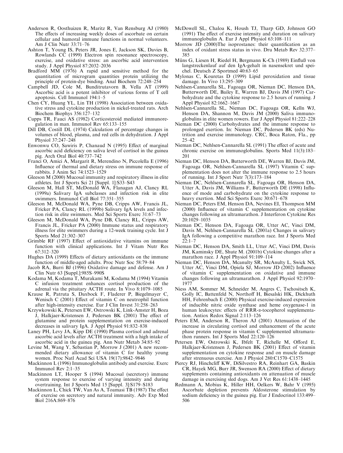- Anderson R, Oosthuizen R, Maritz R, Van Rensburg AJ (1980) The effects of increasing weekly doses of ascorbate on certain cellular and humoral immune functions in normal volunteers. Am J Clin Nutr 33:71–76
- Ashton T, Young IS, Peters JR, Jones E, Jackson SK, Davies B, Rowlands CC (1999) Electron spin resonance spectroscopy, exercise, and oxidative stress: an ascorbic acid intervention study. J Appl Physiol 87:2032–2036
- Bradford MM (1976) A rapid and sensitive method for the quantitation of microgram quantities protein utilizing the principle of protein-dye binding. Anal Biochem 72:248–254
- Campbell JD, Cole M, Bunditrutavorn B, Vella AT (1999) Ascorbic acid is a potent inhibitor of various forms of T cell apoptosis. Cell Immunol 194:1–5
- Chen CY, Huang YL, Lin TH (1998) Association between oxidative stress and cytokine production in nickel-treated rats. Arch Biochem Biophys 356:127–132
- Cupps TR, Fauci AS (1982) Corticosteroid mediated immunoregulation in man. Immunol Rev 65:133–155
- Dill DB, Costill DL (1974) Calculation of percentage changes in volumes of blood, plasma, and red cells in dehydration. J Appl Physiol 37:247–248
- Enwonwu CO, Sawiris P, Chanaud N (1995) Effect of marginal ascorbic acid deficiency on saliva level of cortisol in the guinea pig. Arch Oral Biol 40:737–742
- Franci O, Amici A, Margarit R, Merendino N, Piccolella E (1996) Influence of thermal and dietary stress on immune response of rabbits. J Anim Sci 74:1523–1529
- Gleeson M (2000) Mucosal immunity and respiratory illness in elite athletes. Int J Sports Sci 21 [Suppl. 1]:S33–S43
- Gleeson M, Hall ST, McDonald WA, Flanagan AJ, Clancy RL (1999a) Salivary IgA subclasses and infection risk in elite swimmers. Immunol Cell Biol 77:351–355
- Gleeson M, McDonald WA, Pyne DB, Cripps AW, Francis JL, Fricker PA, Clancy RL (1999b) Salivary IgA levels and infection risk in elite swimmers. Med Sci Sports Exerc 31:67–73
- Gleeson M, McDonald WA, Pyne DB, Clancy RL, Cripps AW, Francis JL, Fricker PA (2000) Immune status and respiratory illness for elite swimmers during a 12-week training cycle. Int J Sports Med 21:302–307
- Grimble RF (1997) Effect of antioxidative vitamins on immune function with clinical applications. Int J Vitam Nutr Res 67:312–320
- Hughes DA (1999) Effects of dietary antioxidants on the immune function of middle-aged adults. Proc Nutr Soc 58:79–84
- Jacob RA, Burri BJ (1996) Oxidative damage and defense. Am J Clin Nutr 63 [Suppl.]:985S–990S
- Kodama M, Kodama T, Murakami M, Kodama M (1994) Vitamin C infusion treatment enhances cortisol production of the adrenal via the pituitary ACTH route. In Vivo 8:1079–1085
- Krause R, Patruta S, Daxbock F, Fladerer P, Biegelmayer C, Wenisch C (2001) Effect of vitamin C on neutrophil function after high-intensity exercise. Eur J Clin Invest 31:258–263
- Krzywkowski K, Petersen EW, Ostrowski K, Link-Amster H, Boza J, Halkjaer-Kristensen J, Pedersen BK (2001) The effect of glutamine and protein supplementation on exercise-induced decreases in salivary IgA. J Appl Physiol 91:832–838
- Laney PH, Levy JA, Kipp DE (1990) Plasma cortisol and adrenal ascorbic acid levels after ACTH treatment with a high intake of ascorbic acid in the guinea pig. Ann Nutr Metab 34:85–92
- Levine M, Wang Y, Sebastian P, Morrow J (2001) A new recommended dietary allowance of vitamin C for healthy young women. Proc Natl Acad Sci USA 19(17):9842–9846
- Mackinnon L (1996) Immunoglobulin antibody and exercise. Exerc Immunol Rev 2:1–35
- Mackinnon LT, Hooper S (1994) Mucosal (secretory) immune system response to exercise of varying intensity and during overtraining. Int J Sports Med 15 [Suppl. 3]:S179–S183
- Mackinnon L, Chick TW, Van As A, Toamasi TB (1987) The effect of exercise on secretory and natural immunity. Adv Exp Med Biol 216A:869–876
- McDowell SL, Chaloa K, Housh TJ, Tharp GD, Johnson GO (1991) The effect of exercise intensity and duration on salivary immunoglobulin A. Eur J Appl Physiol 63:108–111
- Morrow JD (2000)The isoprostanes: their quantification as an index of oxidant stress status in vivo. Dru Metab Rev 32:377– 385
- Müns G, Liesen H, Riedel H, Bergmann K-Ch (1989) Einfluß von langstreckenlauf auf den IgA-gehalt in nasensekret und speichel. Deutsch Z Sportmed 40:63–65
- Mylonas C, Kouretas D (1999) Lipid peroxidation and tissue damage. In Vivo 13:295–309
- Nehlsen-Cannarella SL, Fagoaga OR, Nieman DC, Henson DA, Butterworth DE, Bailey E, Warren BJ, Davis JM (1997) Carbohydrate and the cytokine response to 2.5 hours of running. J Appl Physiol 82:1662–1667
- Nehlsen-Cannarella SL, Nieman DC, Fagoaga OR, Kelln WJ, Henson DA, Shannon M, Davis JM (2000) Saliva immunoglobulins in elite women rowers. Eur J Appl Physiol 81:222–228
- Nieman DC (2000) Carbohydrates and the immune response to prolonged exertion. In: Nieman DC, Pedersen BK (eds) Nutrition and exercise immunology. CRC, Boca Raton, Fla., pp 25–42
- Nieman DC, Nehlsen-Cannarella SL (1991) The effect of acute and chronic exercise on immunoglobulins. Sports Med 11(3):183– 201
- Nieman DC, Henson DA, Butterworth DE, Warren BJ, Davis JM, Fagoaga OR, Nehlsen-Cannarella SL (1997) Vitamin C supplementation does not alter the immune response to 2.5 hours of running. Int J Sport Nutr 7(3):173–184
- Nieman DC, Nehlsen-Cannarella SL, Fagoaga OR, Henson DA, Utter A, Davis JM, Williams F, Butterworth DE (1998) Influence of mode and carbohydrate on the cytokine response to heavy exertion. Med Sci Sports Exerc 30:671–678
- Nieman DC, Peters EM, Henson DA, Nevines EI, Thompson MM (2000) Influence of vitamin C supplementation on cytokine changes following an ultramarathon. J Interferon Cytokine Res 20:1029–1035
- Nieman DC, Henson DA, Fagoaga OR, Utter AC, Vinci DM, Davis M, Nehlsen-Cannarella SL (2001a) Changes in salivary IgA following a competitive marathon race. Int J Sports Med  $22:1-7$
- Nieman DC, Henson DA, Smith LL, Utter AC, Vinci DM, Davis JM, Kaminsky DE, Shute M. (2001b) Cytokine changes after a marathon race. J Appl Physiol 91:109–114
- Nieman DC, Henson DA, Mcanulty SR, McAnulty L, Swick NS, Utter AC, Vinci DM, Opiela SJ, Morrow JD (2002) Influence of vitamin C supplementation on oxidative and immune changes following an ultramarathon. J Appl Physiol 92:1970– 1977
- Niess AM, Sommer M, Schneider M, Angres C, Tschositsch K, Golly IC, Battenfeld N, Northoff H, Biesalski HK, Dickhuth HH, Fehrenbach E (2000) Physical exercise-induced expression of inducible nitric oxide synthase and heme oxygenase-1 in human leukocytes: effects of RRR- $\alpha$ -tocopherol supplementation. Antiox Redox Signal 2:113–126
- Peters EM, Anderson R, Theron AJ (2001) Attenuation of the increase in circulating cortisol and enhancement of the acute phase protein response in vitamin C supplemented ultramarathon runners. Int J Sports Med 22:120–126
- Petersen EW, Ostrowski K, Ibfelt T, Richelle M, Offord E, Halkjaer-Kristensen J, Pedersen BK (2001) Effect of vitamin supplementation on cytokine response and on muscle damage after strenuous exercise. Am J Physiol 280:C1570–C1575
- Piercy RJ, Hinchcliff KW, DiSilvestro RA, Reinhart GA, Baskin CR, Hayek MG, Burr JR, Swenson RA (2000) Effect of dietary supplements containing antioxidants on attenuation of muscle damage in exercising sled dogs. Am J Vet Res 61:1438–1445
- Redmann A, Mobius K, Hiller HH, Oelkers W, Bahr V (1995) Ascorbate depletion prevents Aldosterone stimulation by sodium deficiency in the guinea pig. Eur J Endocrinol 133:499– 506